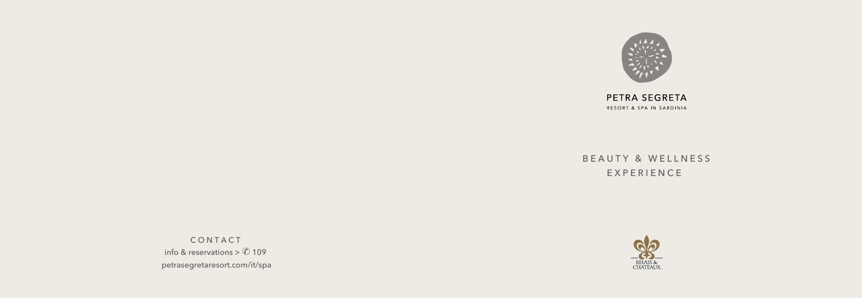

PETRA SEGRETA RESORT & SPA IN SARDINIA

# BEAUTY & WELLNESS

EXPERIENCE



CONTACT info & reservations >  $\oslash$  109 petrasegretaresort.com/it/spa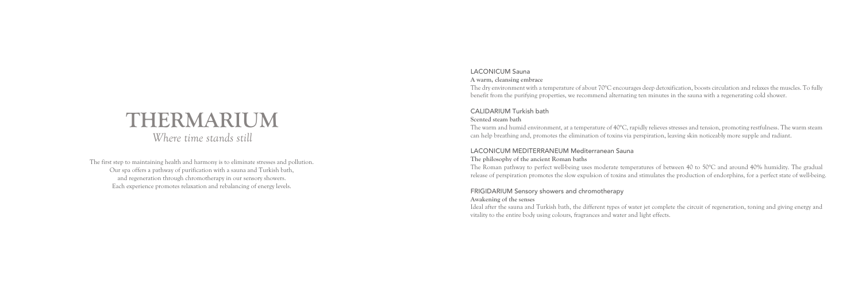The first step to maintaining health and harmony is to eliminate stresses and pollution. Our spa offers a pathway of purification with a sauna and Turkish bath, and regeneration through chromotherapy in our sensory showers. Each experience promotes relaxation and rebalancing of energy levels.

# **THERMARIUM**

*Where time stands still*

#### LACONICUM Sauna

#### **A warm, cleansing embrace**

The dry environment with a temperature of about 70°C encourages deep detoxification, boosts circulation and relaxes the muscles. To fully benefit from the purifying properties, we recommend alternating ten minutes in the sauna with a regenerating cold shower.

#### CALIDARIUM Turkish bath

#### **Scented steam bath**

The warm and humid environment, at a temperature of 40°C, rapidly relieves stresses and tension, promoting restfulness. The warm steam can help breathing and, promotes the elimination of toxins via perspiration, leaving skin noticeably more supple and radiant.

#### LACONICUM MEDITERRANEUM Mediterranean Sauna **The philosophy of the ancient Roman baths**

The Roman pathway to perfect well-being uses moderate temperatures of between 40 to 50°C and around 40% humidity. The gradual release of perspiration promotes the slow expulsion of toxins and stimulates the production of endorphins, for a perfect state of well-being.

#### FRIGIDARIUM Sensory showers and chromotherapy **Awakening of the senses**

Ideal after the sauna and Turkish bath, the different types of water jet complete the circuit of regeneration, toning and giving energy and vitality to the entire body using colours, fragrances and water and light effects.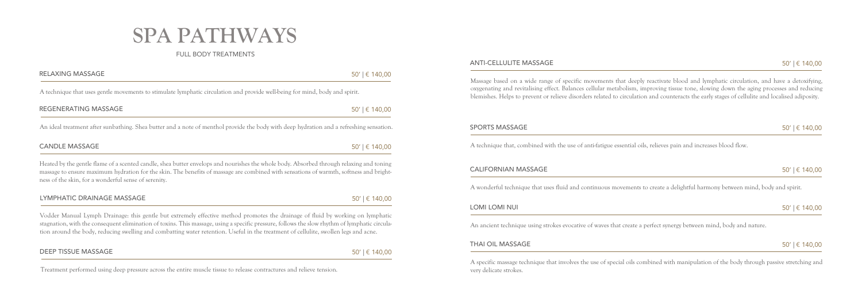# **SPA PATHWAYS**

### FULL BODY TREATMENTS

Heated by the gentle flame of a scented candle, shea butter envelops and nourishes the whole body. Absorbed through relaxing and toning massage to ensure maximum hydration for the skin. The benefits of massage are combined with sensations of warmth, softness and brightness of the skin, for a wonderful sense of serenity.

## LYMPHATIC DRAINAGE MASSAGE  $50' \mid \text{€ } 140,00$

Vodder Manual Lymph Drainage: this gentle but extremely effective method promotes the drainage of fluid by working on lymphatic stagnation, with the consequent elimination of toxins. This massage, using a specific pressure, follows the slow rhythm of lymphatic circulation around the body, reducing swelling and combatting water retention. Useful in the treatment of cellulite, swollen legs and acne.

#### DEEP TISSUE MASSAGE  $50' \mid \text{€ } 140,00$

Massage based on a wide range of specific movements that deeply reactivate blood and lymphatic circulation, and have a detoxifying, oxygenating and revitalising effect. Balances cellular metabolism, improving tissue tone, slowing down the aging processes and reducing blemishes. Helps to prevent or relieve disorders related to circulation and counteracts the early stages of cellulite and localised adiposity.

#### SPORTS MASSAGE  $50' | \in 140,00$

## RELAXING MASSAGE  $50' \mid \text{\large\ensuremath{\in}}\, 140,00$ A technique that uses gentle movements to stimulate lymphatic circulation and provide well-being for mind, body and spirit. REGENERATING MASSAGE  $50' \mid \text{€ } 140,00$ An ideal treatment after sunbathing. Shea butter and a note of menthol provide the body with deep hydration and a refreshing sensation.

## CANDLE MASSAGE  $50' \mid \text{€ } 140,00$

A technique that, combined with the use of anti-fatigue essential oils, relieves pain and increases blood flow.

#### CALIFORNIAN MASSAGE  $50' \mid \in 140,00$

A wonderful technique that uses fluid and continuous movements to create a delightful harmony between mind, body and spirit.

## LOMI LOMI NUI  $50' \mid \in 140,00$

An ancient technique using strokes evocative of waves that create a perfect synergy between mind, body and nature.

#### THAI OIL MASSAGE  $50' \mid \in 140,00$

A specific massage technique that involves the use of special oils combined with manipulation of the body through passive stretching and very delicate strokes.

Treatment performed using deep pressure across the entire muscle tissue to release contractures and relieve tension.

#### ANTI-CELLULITE MASSAGE  $50' \mid \in 140,00$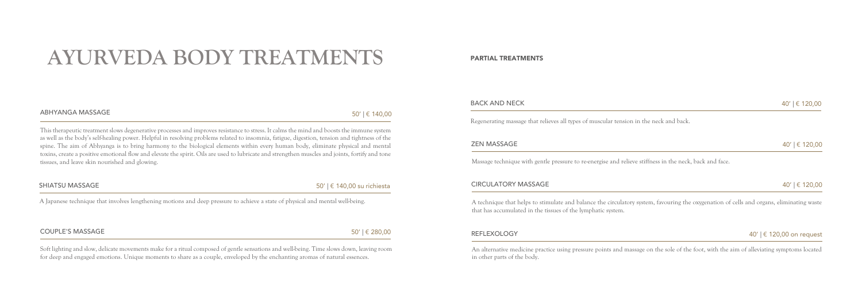# **AYURVEDA BODY TREATMENTS**

This therapeutic treatment slows degenerative processes and improves resistance to stress. It calms the mind and boosts the immune system as well as the body's self-healing power. Helpful in resolving problems related to insomnia, fatigue, digestion, tension and tightness of the spine. The aim of Abhyanga is to bring harmony to the biological elements within every human body, eliminate physical and mental toxins, create a positive emotional flow and elevate the spirit. Oils are used to lubricate and strengthen muscles and joints, fortify and tone tissues, and leave skin nourished and glowing.

Soft lighting and slow, delicate movements make for a ritual composed of gentle sensations and well-being. Time slows down, leaving room for deep and engaged emotions. Unique moments to share as a couple, enveloped by the enchanting aromas of natural essences.

## SHIATSU MASSAGE 50' | € 140,00 su richiesta

### REFLEXOLOGY  $40' | \in 120,00$  on request

Regenerating massage that relieves all types of muscular tension in the neck and back.

## $\mathsf{ZEN}\text{ MASSAGE}$  and  $40' \mid \mathsf{E}\text{ 120,00}$

Massage technique with gentle pressure to re-energise and relieve stiffness in the neck, back and face.

#### $CIRCULATORY MASSAGE$  40'  $\parallel$   $\in$  120,00

A technique that helps to stimulate and balance the circulatory system, favouring the oxygenation of cells and organs, eliminating waste that has accumulated in the tissues of the lymphatic system.

A Japanese technique that involves lengthening motions and deep pressure to achieve a state of physical and mental well-being.

#### COUPLE'S MASSAGE  $50' \mid \text{\large{$\epsilon$}}\, 280,00$

An alternative medicine practice using pressure points and massage on the sole of the foot, with the aim of alleviating symptoms located in other parts of the body.

## $ABHYANGA\,MASSAGE$  50' |  $\in$  140,00

#### PARTIAL TREATMENTS

#### BACK AND NECK  $40' \mid \epsilon \mid 120,00$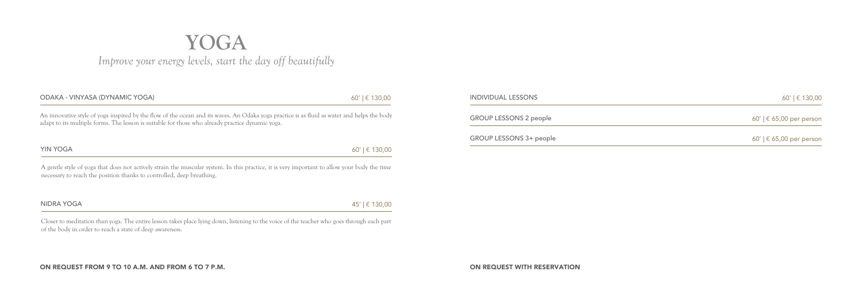ON REQUEST WITH RESERVATION

# **YOGA** *Improve your energy levels, start the day off beautifully*

| ODAKA - VINYASA (DYNAMIC YOGA)                                                                                                                                                                                                                  | $60'$   $\in$ 130,00 |
|-------------------------------------------------------------------------------------------------------------------------------------------------------------------------------------------------------------------------------------------------|----------------------|
| An innovative style of yoga inspired by the flow of the ocean and its waves. An Odaka yoga practice is as fluid as water and helps the body<br>adapt to its multiple forms. The lesson is suitable for those who already practice dynamic yoga. |                      |
| <b>YIN YOGA</b>                                                                                                                                                                                                                                 | $60'$   $\in$ 130,00 |

A gentle style of yoga that does not actively strain the muscular system. In this practice, it is very important to allow your body the time necessary to reach the position thanks to controlled, deep breathing.

| NIDRA YOGA | 45′   € 130,00 |
|------------|----------------|
|------------|----------------|

Closer to meditation than yoga. The entire lesson takes place lying down, listening to the voice of the teacher who goes through each part of the body in order to reach a state of deep awareness.

#### $I$ INDIVIDUAL LESSONS 60' |  $\in$  130,00

GROUP LESSONS 2 people  $60' | \epsilon 65,00$  per person

GROUP LESSONS 3+ people  $60'$  |  $\in$  65,00 per person

#### ON REQUEST FROM 9 TO 10 A.M. AND FROM 6 TO 7 P.M.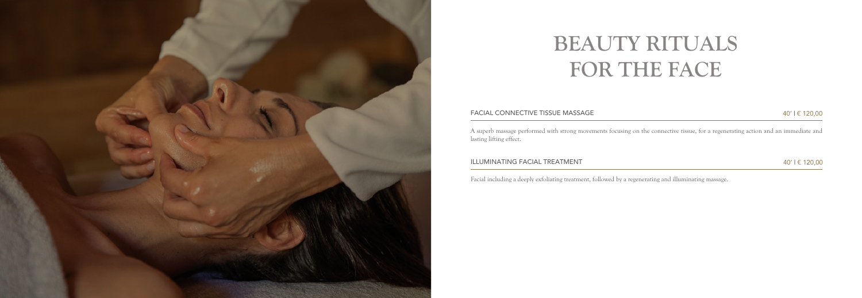

# **BEAUTY RITUALS FOR THE FACE**

#### FACIAL CONNECTIVE TISSUE MASSAGE 40' I € 120,00

A superb massage performed with strong movements focusing on the connective tissue, for a regenerating action and an immediate and lasting lifting effect.

#### ILLUMINATING FACIAL TREATMENT  $40'$  |  $\in$  120,00

Facial including a deeply exfoliating treatment, followed by a regenerating and illuminating massage.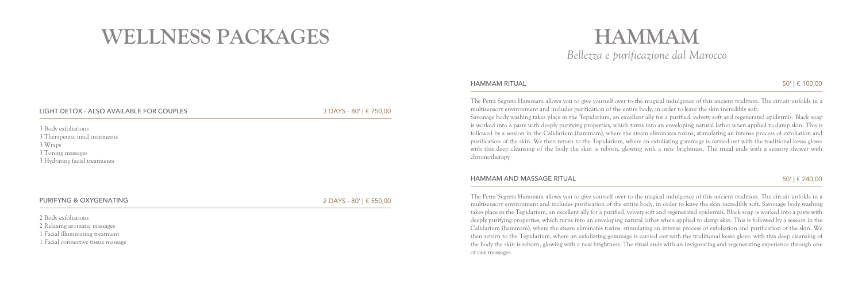The Petra Segreta Hammam allows you to give yourself over to the magical indulgence of this ancient tradition. The circuit unfolds in a multisensory environment and includes purification of the entire body, in order to leave the skin incredibly soft. Savonage body washing takes place in the Tepidarium, an excellent ally for a purified, velvety soft and regenerated epidermis. Black soap is worked into a paste with deeply purifying properties, which turns into an enveloping natural lather when applied to damp skin. This is followed by a session in the Calidarium (hammam), where the steam eliminates toxins, stimulating an intense process of exfoliation and purification of the skin. We then return to the Tepidarium, where an exfoliating gommage is carried out with the traditional kessa glove: with this deep cleansing of the body the skin is reborn, glowing with a new brightness. The ritual ends with an invigorating and regenerating experience through one of our massages.

The Petra Segreta Hammam allows you to give yourself over to the magical indulgence of this ancient tradition. The circuit unfolds in a multisensory environment and includes purification of the entire body, in order to leave the skin incredibly soft. Savonage body washing takes place in the Tepidarium, an excellent ally for a purified, velvety soft and regenerated epidermis. Black soap is worked into a paste with deeply purifying properties, which turns into an enveloping natural lather when applied to damp skin. This is followed by a session in the Calidarium (hammam), where the steam eliminates toxins, stimulating an intense process of exfoliation and purification of the skin. We then return to the Tepidarium, where an exfoliating gommage is carried out with the traditional kessa glove: with this deep cleansing of the body the skin is reborn, glowing with a new brightness. The ritual ends with a sensory shower with chromotherapy

#### HAMMAM AND MASSAGE RITUAL  $50' \mid \text{\&} 240,00$

## **HAMMAM** *Bellezza e purificazione dal Marocco*

## $HAMMAM$  RITUAL  $50' \mid \text{\&} 100,00$

2 Body exfoliations

2 Relaxing aromatic massages

1 Facial illuminating treatment

1 Facial connective tissue massage

LIGHT DETOX - ALSO AVAILABLE FOR COUPLES 3 DAYS - 80' | € 750,00

3 Body exfoliations 3 Therapeutic mud treatments 3 Wraps 3 Toning massages 3 Hydrating facial treatments

#### PURIFYNG & OXYGENATING 2 DAYS - 80' | € 550,00

# **WELLNESS PACKAGES**